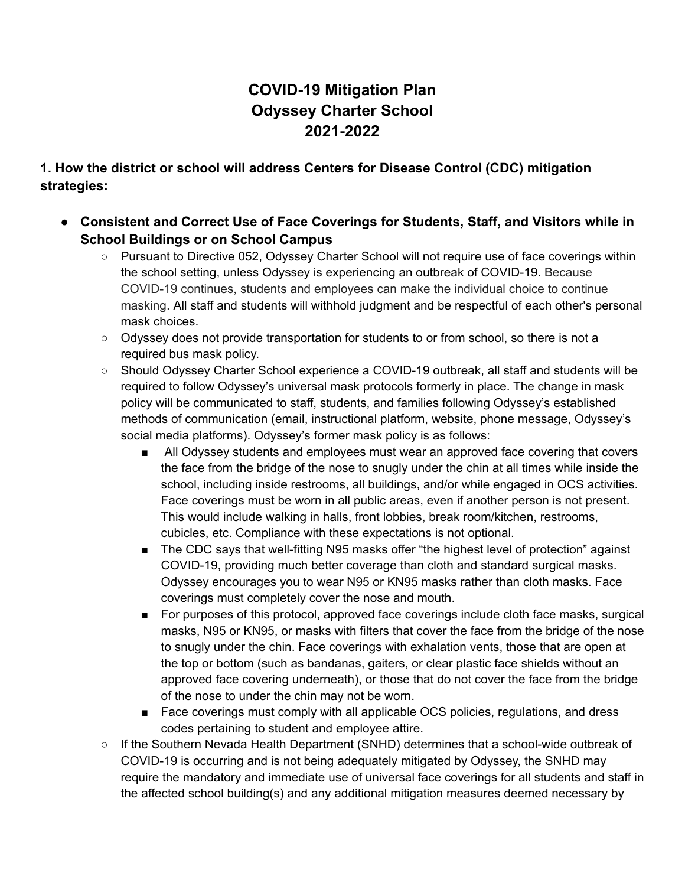# **COVID-19 Mitigation Plan Odyssey Charter School 2021-2022**

**1. How the district or school will address Centers for Disease Control (CDC) mitigation strategies:**

- **● Consistent and Correct Use of Face Coverings for Students, Staff, and Visitors while in School Buildings or on School Campus**
	- Pursuant to Directive 052, Odyssey Charter School will not require use of face coverings within the school setting, unless Odyssey is experiencing an outbreak of COVID-19. Because COVID-19 continues, students and employees can make the individual choice to continue masking. All staff and students will withhold judgment and be respectful of each other's personal mask choices.
	- Odyssey does not provide transportation for students to or from school, so there is not a required bus mask policy.
	- Should Odyssey Charter School experience a COVID-19 outbreak, all staff and students will be required to follow Odyssey's universal mask protocols formerly in place. The change in mask policy will be communicated to staff, students, and families following Odyssey's established methods of communication (email, instructional platform, website, phone message, Odyssey's social media platforms). Odyssey's former mask policy is as follows:
		- All Odyssey students and employees must wear an approved face covering that covers the face from the bridge of the nose to snugly under the chin at all times while inside the school, including inside restrooms, all buildings, and/or while engaged in OCS activities. Face coverings must be worn in all public areas, even if another person is not present. This would include walking in halls, front lobbies, break room/kitchen, restrooms, cubicles, etc. Compliance with these expectations is not optional.
		- The CDC says that well-fitting N95 masks offer "the highest level of protection" against COVID-19, providing much better coverage than cloth and standard surgical masks. Odyssey encourages you to wear N95 or KN95 masks rather than cloth masks. Face coverings must completely cover the nose and mouth.
		- For purposes of this protocol, approved face coverings include cloth face masks, surgical masks, N95 or KN95, or masks with filters that cover the face from the bridge of the nose to snugly under the chin. Face coverings with exhalation vents, those that are open at the top or bottom (such as bandanas, gaiters, or clear plastic face shields without an approved face covering underneath), or those that do not cover the face from the bridge of the nose to under the chin may not be worn.
		- Face coverings must comply with all applicable OCS policies, regulations, and dress codes pertaining to student and employee attire.
	- If the Southern Nevada Health Department (SNHD) determines that a school-wide outbreak of COVID-19 is occurring and is not being adequately mitigated by Odyssey, the SNHD may require the mandatory and immediate use of universal face coverings for all students and staff in the affected school building(s) and any additional mitigation measures deemed necessary by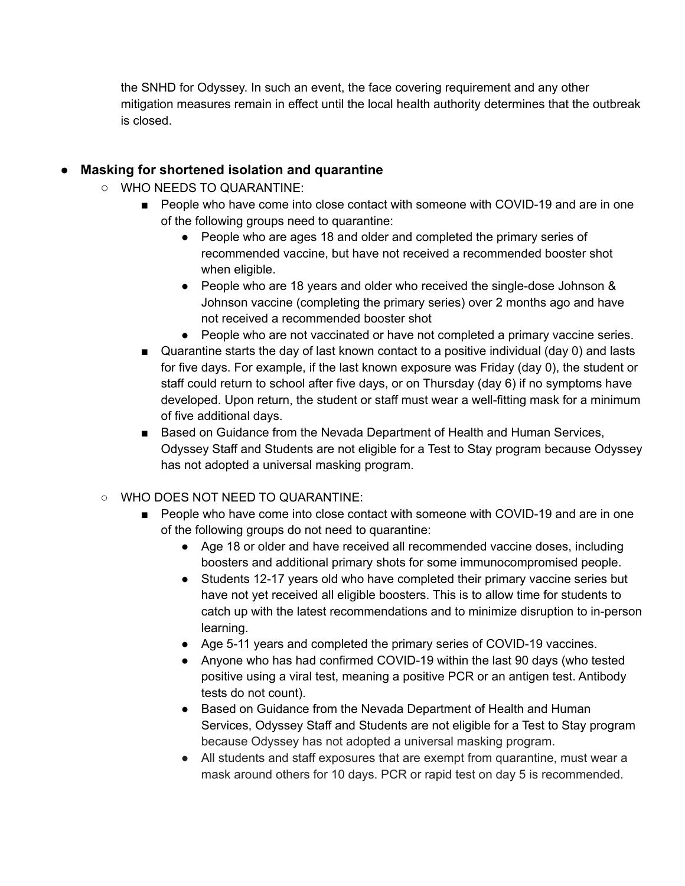the SNHD for Odyssey. In such an event, the face covering requirement and any other mitigation measures remain in effect until the local health authority determines that the outbreak is closed.

### **● Masking for shortened isolation and quarantine**

- **○** WHO NEEDS TO QUARANTINE:
	- People who have come into close contact with someone with COVID-19 and are in one of the following groups need to quarantine:
		- People who are ages 18 and older and completed the primary series of recommended vaccine, but have not received a recommended booster shot when eligible.
		- People who are 18 years and older who received the single-dose Johnson & Johnson vaccine (completing the primary series) over 2 months ago and have not received a recommended booster shot
		- People who are not vaccinated or have not completed a primary vaccine series.
	- Quarantine starts the day of last known contact to a positive individual (day 0) and lasts for five days. For example, if the last known exposure was Friday (day 0), the student or staff could return to school after five days, or on Thursday (day 6) if no symptoms have developed. Upon return, the student or staff must wear a well-fitting mask for a minimum of five additional days.
	- Based on Guidance from the Nevada Department of Health and Human Services, Odyssey Staff and Students are not eligible for a Test to Stay program because Odyssey has not adopted a universal masking program.

#### ○ WHO DOES NOT NEED TO QUARANTINE:

- People who have come into close contact with someone with COVID-19 and are in one of the following groups do not need to quarantine:
	- Age 18 or older and have received all recommended vaccine doses, including boosters and additional primary shots for some immunocompromised people.
	- Students 12-17 years old who have completed their primary vaccine series but have not yet received all eligible boosters. This is to allow time for students to catch up with the latest recommendations and to minimize disruption to in-person learning.
	- Age 5-11 years and completed the primary series of COVID-19 vaccines.
	- Anyone who has had confirmed COVID-19 within the last 90 days (who tested positive using a viral test, meaning a positive PCR or an antigen test. Antibody tests do not count).
	- Based on Guidance from the Nevada Department of Health and Human Services, Odyssey Staff and Students are not eligible for a Test to Stay program because Odyssey has not adopted a universal masking program.
	- All students and staff exposures that are exempt from quarantine, must wear a mask around others for 10 days. PCR or rapid test on day 5 is recommended.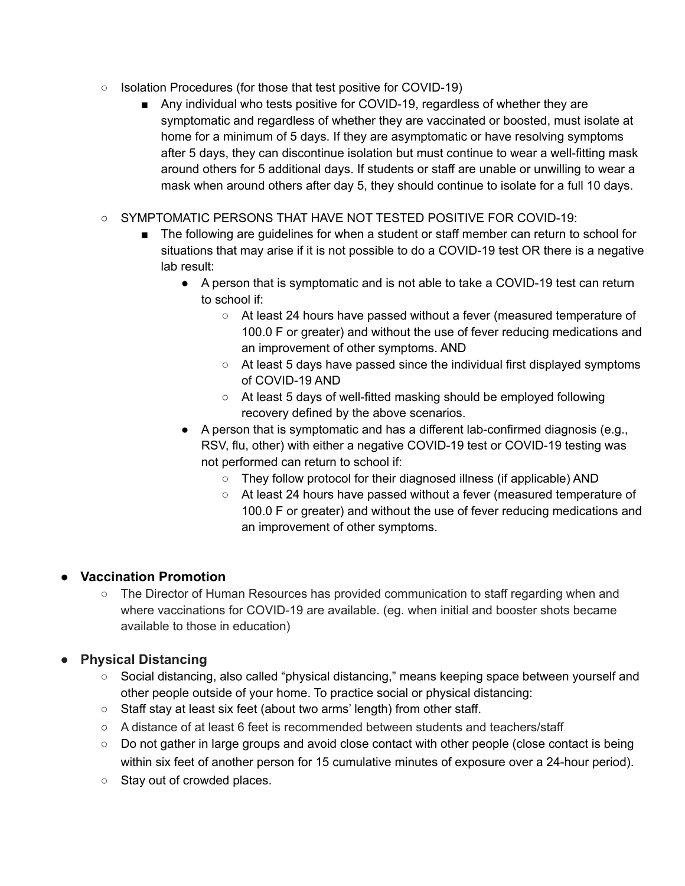- Isolation Procedures (for those that test positive for COVID-19)
	- Any individual who tests positive for COVID-19, regardless of whether they are symptomatic and regardless of whether they are vaccinated or boosted, must isolate at home for a minimum of 5 days. If they are asymptomatic or have resolving symptoms after 5 days, they can discontinue isolation but must continue to wear a well-fitting mask around others for 5 additional days. If students or staff are unable or unwilling to wear a mask when around others after day 5, they should continue to isolate for a full 10 days.
- SYMPTOMATIC PERSONS THAT HAVE NOT TESTED POSITIVE FOR COVID-19:
	- The following are quidelines for when a student or staff member can return to school for situations that may arise if it is not possible to do a COVID-19 test OR there is a negative lab result:
		- A person that is symptomatic and is not able to take a COVID-19 test can return to school if:
			- At least 24 hours have passed without a fever (measured temperature of 100.0 F or greater) and without the use of fever reducing medications and an improvement of other symptoms. AND
			- $\circ$  At least 5 days have passed since the individual first displayed symptoms of COVID-19 AND
			- At least 5 days of well-fitted masking should be employed following recovery defined by the above scenarios.
		- A person that is symptomatic and has a different lab-confirmed diagnosis (e.g., RSV, flu, other) with either a negative COVID-19 test or COVID-19 testing was not performed can return to school if:
			- They follow protocol for their diagnosed illness (if applicable) AND
			- At least 24 hours have passed without a fever (measured temperature of 100.0 F or greater) and without the use of fever reducing medications and an improvement of other symptoms.

## **● Vaccination Promotion**

○ The Director of Human Resources has provided communication to staff regarding when and where vaccinations for COVID-19 are available. (eg. when initial and booster shots became available to those in education)

# **● Physical Distancing**

- Social distancing, also called "physical distancing," means keeping space between yourself and other people outside of your home. To practice social or physical distancing:
- Staff stay at least six feet (about two arms' length) from other staff.
- A distance of at least 6 feet is recommended between students and teachers/staff
- Do not gather in large groups and avoid close contact with other people (close contact is being within six feet of another person for 15 cumulative minutes of exposure over a 24-hour period).
- Stay out of crowded places.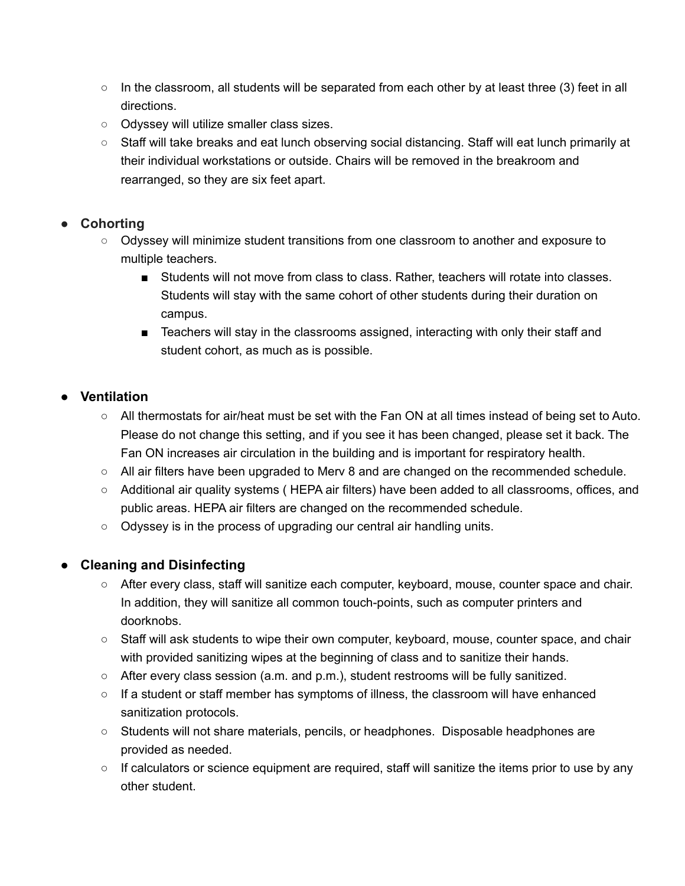- $\circ$  In the classroom, all students will be separated from each other by at least three (3) feet in all directions.
- Odyssey will utilize smaller class sizes.
- Staff will take breaks and eat lunch observing social distancing. Staff will eat lunch primarily at their individual workstations or outside. Chairs will be removed in the breakroom and rearranged, so they are six feet apart.

## **● Cohorting**

- Odyssey will minimize student transitions from one classroom to another and exposure to multiple teachers.
	- Students will not move from class to class. Rather, teachers will rotate into classes. Students will stay with the same cohort of other students during their duration on campus.
	- Teachers will stay in the classrooms assigned, interacting with only their staff and student cohort, as much as is possible.

# **● Ventilation**

- *○* All thermostats for air/heat must be set with the Fan ON at all times instead of being set to Auto. Please do not change this setting, and if you see it has been changed, please set it back. The Fan ON increases air circulation in the building and is important for respiratory health.
- *○* All air filters have been upgraded to Merv 8 and are changed on the recommended schedule.
- *○* Additional air quality systems ( HEPA air filters) have been added to all classrooms, offices, and public areas. HEPA air filters are changed on the recommended schedule.
- Odyssey is in the process of upgrading our central air handling units.

# **● Cleaning and Disinfecting**

- After every class, staff will sanitize each computer, keyboard, mouse, counter space and chair. In addition, they will sanitize all common touch-points, such as computer printers and doorknobs.
- Staff will ask students to wipe their own computer, keyboard, mouse, counter space, and chair with provided sanitizing wipes at the beginning of class and to sanitize their hands.
- After every class session (a.m. and p.m.), student restrooms will be fully sanitized.
- If a student or staff member has symptoms of illness, the classroom will have enhanced sanitization protocols.
- Students will not share materials, pencils, or headphones. Disposable headphones are provided as needed.
- $\circ$  If calculators or science equipment are required, staff will sanitize the items prior to use by any other student.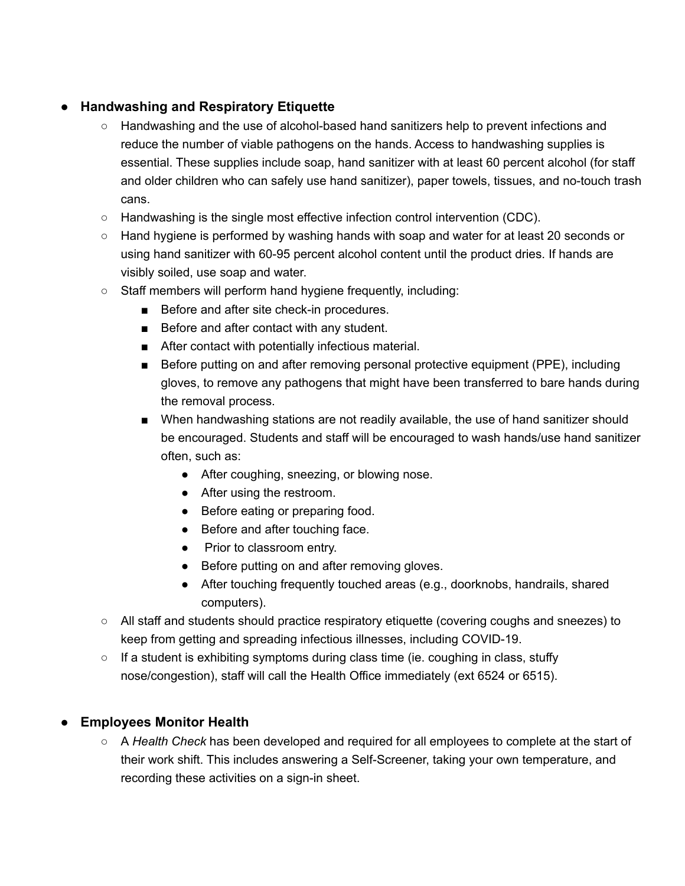## **● Handwashing and Respiratory Etiquette**

- Handwashing and the use of alcohol-based hand sanitizers help to prevent infections and reduce the number of viable pathogens on the hands. Access to handwashing supplies is essential. These supplies include soap, hand sanitizer with at least 60 percent alcohol (for staff and older children who can safely use hand sanitizer), paper towels, tissues, and no-touch trash cans.
- Handwashing is the single most effective infection control intervention (CDC).
- Hand hygiene is performed by washing hands with soap and water for at least 20 seconds or using hand sanitizer with 60-95 percent alcohol content until the product dries. If hands are visibly soiled, use soap and water.
- Staff members will perform hand hygiene frequently, including:
	- Before and after site check-in procedures.
	- Before and after contact with any student.
	- After contact with potentially infectious material.
	- Before putting on and after removing personal protective equipment (PPE), including gloves, to remove any pathogens that might have been transferred to bare hands during the removal process.
	- When handwashing stations are not readily available, the use of hand sanitizer should be encouraged. Students and staff will be encouraged to wash hands/use hand sanitizer often, such as:
		- After coughing, sneezing, or blowing nose.
		- After using the restroom.
		- Before eating or preparing food.
		- Before and after touching face.
		- Prior to classroom entry.
		- Before putting on and after removing gloves.
		- After touching frequently touched areas (e.g., doorknobs, handrails, shared computers).
- All staff and students should practice respiratory etiquette (covering coughs and sneezes) to keep from getting and spreading infectious illnesses, including COVID-19.
- $\circ$  If a student is exhibiting symptoms during class time (ie. coughing in class, stuffy nose/congestion), staff will call the Health Office immediately (ext 6524 or 6515).

## **● Employees Monitor Health**

○ A *Health Check* has been developed and required for all employees to complete at the start of their work shift. This includes answering a Self-Screener, taking your own temperature, and recording these activities on a sign-in sheet.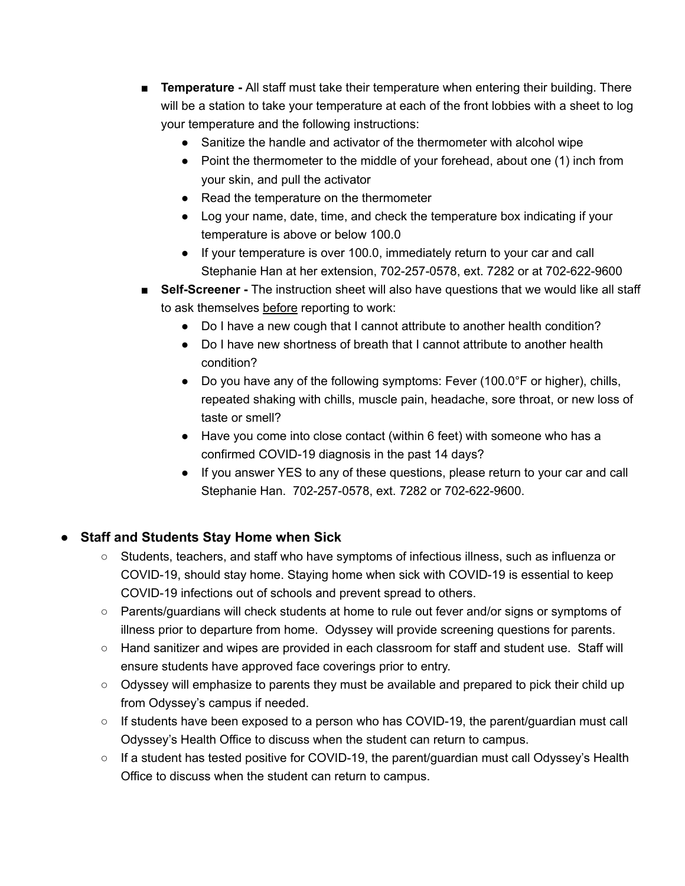- **Temperature** All staff must take their temperature when entering their building. There will be a station to take your temperature at each of the front lobbies with a sheet to log your temperature and the following instructions:
	- Sanitize the handle and activator of the thermometer with alcohol wipe
	- Point the thermometer to the middle of your forehead, about one (1) inch from your skin, and pull the activator
	- Read the temperature on the thermometer
	- Log your name, date, time, and check the temperature box indicating if your temperature is above or below 100.0
	- If your temperature is over 100.0, immediately return to your car and call Stephanie Han at her extension, 702-257-0578, ext. 7282 or at 702-622-9600
- **Self-Screener** The instruction sheet will also have questions that we would like all staff to ask themselves before reporting to work:
	- Do I have a new cough that I cannot attribute to another health condition?
	- Do I have new shortness of breath that I cannot attribute to another health condition?
	- Do you have any of the following symptoms: Fever (100.0°F or higher), chills, repeated shaking with chills, muscle pain, headache, sore throat, or new loss of taste or smell?
	- Have you come into close contact (within 6 feet) with someone who has a confirmed COVID-19 diagnosis in the past 14 days?
	- If you answer YES to any of these questions, please return to your car and call Stephanie Han. 702-257-0578, ext. 7282 or 702-622-9600.

## **● Staff and Students Stay Home when Sick**

- Students, teachers, and staff who have symptoms of infectious illness, such as influenza or COVID-19, should stay home. Staying home when sick with COVID-19 is essential to keep COVID-19 infections out of schools and prevent spread to others.
- Parents/guardians will check students at home to rule out fever and/or signs or symptoms of illness prior to departure from home. Odyssey will provide screening questions for parents.
- Hand sanitizer and wipes are provided in each classroom for staff and student use. Staff will ensure students have approved face coverings prior to entry.
- Odyssey will emphasize to parents they must be available and prepared to pick their child up from Odyssey's campus if needed.
- If students have been exposed to a person who has COVID-19, the parent/guardian must call Odyssey's Health Office to discuss when the student can return to campus.
- $\circ$  If a student has tested positive for COVID-19, the parent/guardian must call Odyssey's Health Office to discuss when the student can return to campus.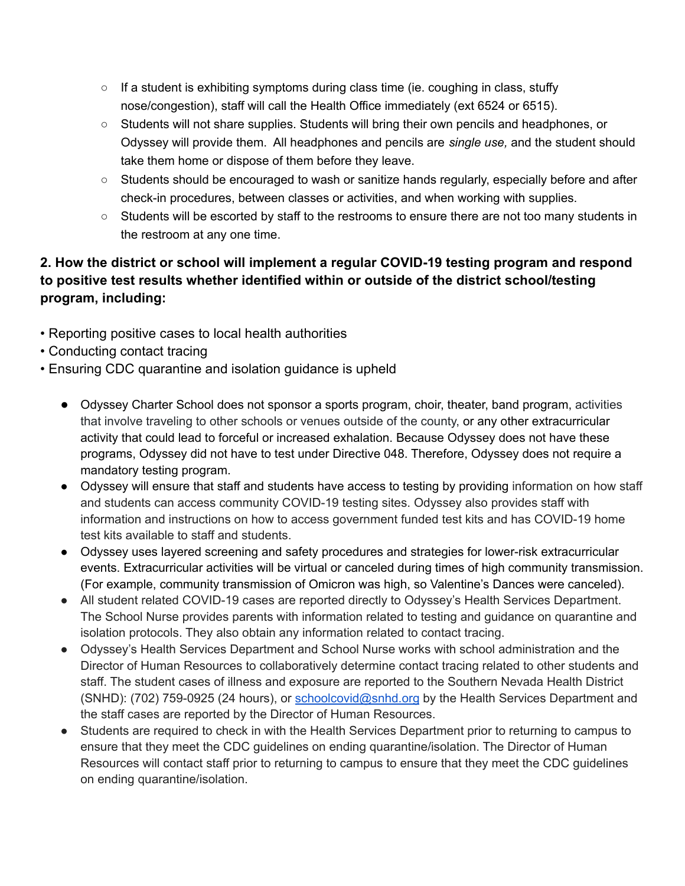- $\circ$  If a student is exhibiting symptoms during class time (ie. coughing in class, stuffy nose/congestion), staff will call the Health Office immediately (ext 6524 or 6515).
- Students will not share supplies. Students will bring their own pencils and headphones, or Odyssey will provide them. All headphones and pencils are *single use,* and the student should take them home or dispose of them before they leave.
- Students should be encouraged to wash or sanitize hands regularly, especially before and after check-in procedures, between classes or activities, and when working with supplies.
- Students will be escorted by staff to the restrooms to ensure there are not too many students in the restroom at any one time.

# **2. How the district or school will implement a regular COVID-19 testing program and respond to positive test results whether identified within or outside of the district school/testing program, including:**

- Reporting positive cases to local health authorities
- Conducting contact tracing
- Ensuring CDC quarantine and isolation guidance is upheld
	- Odyssey Charter School does not sponsor a sports program, choir, theater, band program, activities that involve traveling to other schools or venues outside of the county, or any other extracurricular activity that could lead to forceful or increased exhalation. Because Odyssey does not have these programs, Odyssey did not have to test under Directive 048. Therefore, Odyssey does not require a mandatory testing program.
	- Odyssey will ensure that staff and students have access to testing by providing information on how staff and students can access community COVID-19 testing sites. Odyssey also provides staff with information and instructions on how to access government funded test kits and has COVID-19 home test kits available to staff and students.
	- Odyssey uses layered screening and safety procedures and strategies for lower-risk extracurricular events. Extracurricular activities will be virtual or canceled during times of high community transmission. (For example, community transmission of Omicron was high, so Valentine's Dances were canceled).
	- All student related COVID-19 cases are reported directly to Odyssey's Health Services Department. The School Nurse provides parents with information related to testing and guidance on quarantine and isolation protocols. They also obtain any information related to contact tracing.
	- Odyssey's Health Services Department and School Nurse works with school administration and the Director of Human Resources to collaboratively determine contact tracing related to other students and staff. The student cases of illness and exposure are reported to the Southern Nevada Health District (SNHD): (702) 759-0925 (24 hours), or schoolcovid@snhd.org by the Health Services Department and the staff cases are reported by the Director of Human Resources.
	- Students are required to check in with the Health Services Department prior to returning to campus to ensure that they meet the CDC guidelines on ending quarantine/isolation. The Director of Human Resources will contact staff prior to returning to campus to ensure that they meet the CDC guidelines on ending quarantine/isolation.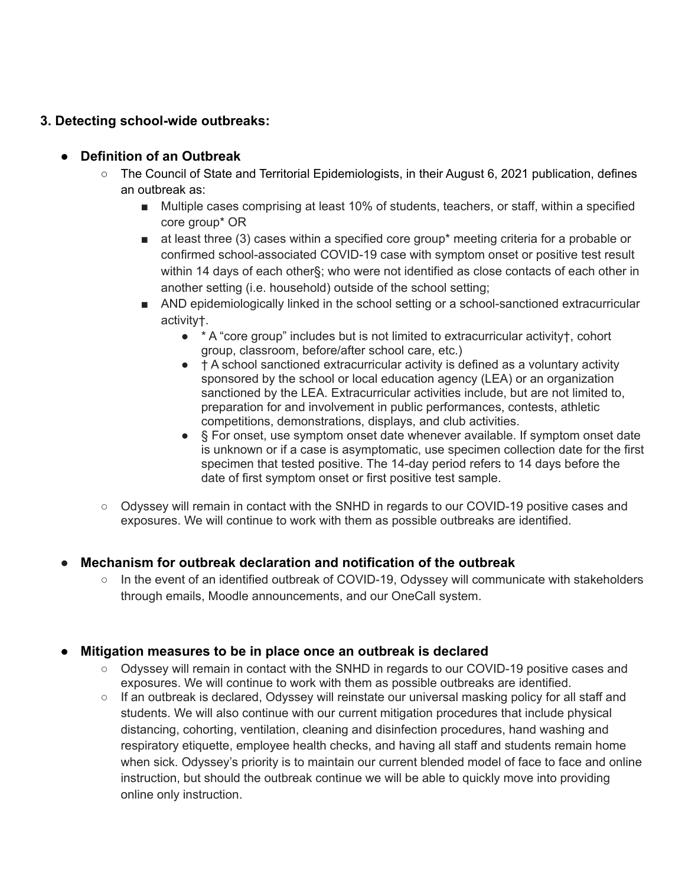### **3. Detecting school-wide outbreaks:**

#### **● Definition of an Outbreak**

- The Council of State and Territorial Epidemiologists, in their August 6, 2021 publication, defines an outbreak as:
	- Multiple cases comprising at least 10% of students, teachers, or staff, within a specified core group\* OR
	- at least three (3) cases within a specified core group\* meeting criteria for a probable or confirmed school-associated COVID-19 case with symptom onset or positive test result within 14 days of each other§; who were not identified as close contacts of each other in another setting (i.e. household) outside of the school setting;
	- AND epidemiologically linked in the school setting or a school-sanctioned extracurricular activity†.
		- $\bullet$  \* A "core group" includes but is not limited to extracurricular activity  $\dagger$ , cohort group, classroom, before/after school care, etc.)
		- $\bullet$   $\dagger$  A school sanctioned extracurricular activity is defined as a voluntary activity sponsored by the school or local education agency (LEA) or an organization sanctioned by the LEA. Extracurricular activities include, but are not limited to, preparation for and involvement in public performances, contests, athletic competitions, demonstrations, displays, and club activities.
		- § For onset, use symptom onset date whenever available. If symptom onset date is unknown or if a case is asymptomatic, use specimen collection date for the first specimen that tested positive. The 14-day period refers to 14 days before the date of first symptom onset or first positive test sample.
- Odyssey will remain in contact with the SNHD in regards to our COVID-19 positive cases and exposures. We will continue to work with them as possible outbreaks are identified.

#### **● Mechanism for outbreak declaration and notification of the outbreak**

○ In the event of an identified outbreak of COVID-19, Odyssey will communicate with stakeholders through emails, Moodle announcements, and our OneCall system.

#### **● Mitigation measures to be in place once an outbreak is declared**

- Odyssey will remain in contact with the SNHD in regards to our COVID-19 positive cases and exposures. We will continue to work with them as possible outbreaks are identified.
- If an outbreak is declared, Odyssey will reinstate our universal masking policy for all staff and students. We will also continue with our current mitigation procedures that include physical distancing, cohorting, ventilation, cleaning and disinfection procedures, hand washing and respiratory etiquette, employee health checks, and having all staff and students remain home when sick. Odyssey's priority is to maintain our current blended model of face to face and online instruction, but should the outbreak continue we will be able to quickly move into providing online only instruction.